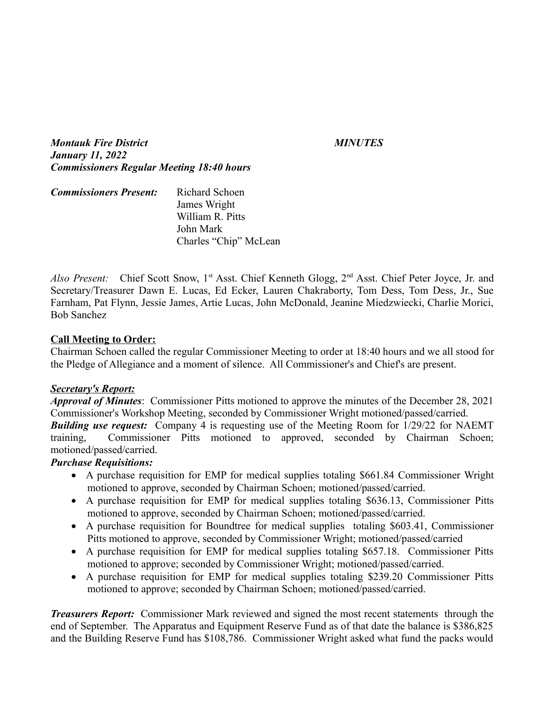*Montauk Fire District MINUTES January 11, 2022 Commissioners Regular Meeting 18:40 hours*

| <b>Commissioners Present:</b> | Richard Schoen        |
|-------------------------------|-----------------------|
|                               | James Wright          |
|                               | William R. Pitts      |
|                               | John Mark             |
|                               | Charles "Chip" McLean |

Also Present: Chief Scott Snow, 1<sup>st</sup> Asst. Chief Kenneth Glogg, 2<sup>nd</sup> Asst. Chief Peter Joyce, Jr. and Secretary/Treasurer Dawn E. Lucas, Ed Ecker, Lauren Chakraborty, Tom Dess, Tom Dess, Jr., Sue Farnham, Pat Flynn, Jessie James, Artie Lucas, John McDonald, Jeanine Miedzwiecki, Charlie Morici, Bob Sanchez

#### **Call Meeting to Order:**

Chairman Schoen called the regular Commissioner Meeting to order at 18:40 hours and we all stood for the Pledge of Allegiance and a moment of silence. All Commissioner's and Chief's are present.

#### *Secretary's Report:*

*Approval of Minutes*: Commissioner Pitts motioned to approve the minutes of the December 28, 2021 Commissioner's Workshop Meeting, seconded by Commissioner Wright motioned/passed/carried.

**Building use request:** Company 4 is requesting use of the Meeting Room for 1/29/22 for NAEMT training, Commissioner Pitts motioned to approved, seconded by Chairman Schoen; motioned/passed/carried.

#### *Purchase Requisitions:*

- A purchase requisition for EMP for medical supplies totaling \$661.84 Commissioner Wright motioned to approve, seconded by Chairman Schoen; motioned/passed/carried.
- A purchase requisition for EMP for medical supplies totaling \$636.13, Commissioner Pitts motioned to approve, seconded by Chairman Schoen; motioned/passed/carried.
- A purchase requisition for Boundtree for medical supplies totaling \$603.41, Commissioner Pitts motioned to approve, seconded by Commissioner Wright; motioned/passed/carried
- A purchase requisition for EMP for medical supplies totaling \$657.18. Commissioner Pitts motioned to approve; seconded by Commissioner Wright; motioned/passed/carried.
- A purchase requisition for EMP for medical supplies totaling \$239.20 Commissioner Pitts motioned to approve; seconded by Chairman Schoen; motioned/passed/carried.

*Treasurers Report:* Commissioner Mark reviewed and signed the most recent statements through the end of September. The Apparatus and Equipment Reserve Fund as of that date the balance is \$386,825 and the Building Reserve Fund has \$108,786. Commissioner Wright asked what fund the packs would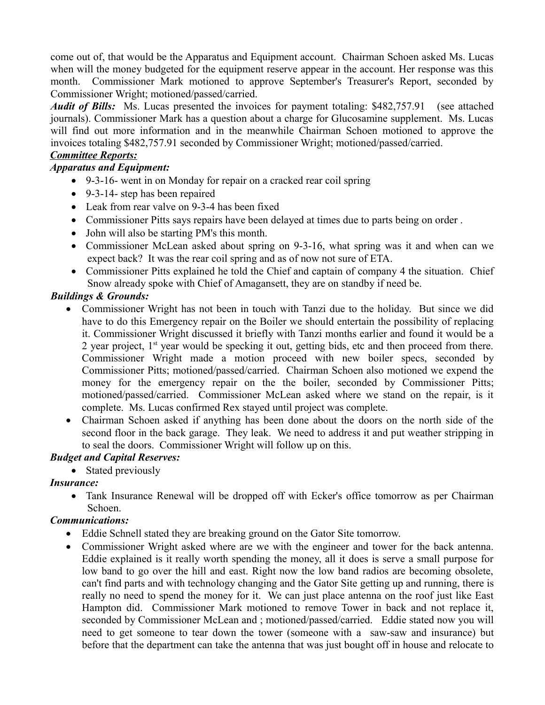come out of, that would be the Apparatus and Equipment account. Chairman Schoen asked Ms. Lucas when will the money budgeted for the equipment reserve appear in the account. Her response was this month. Commissioner Mark motioned to approve September's Treasurer's Report, seconded by Commissioner Wright; motioned/passed/carried.

*Audit of Bills:* Ms. Lucas presented the invoices for payment totaling: \$482,757.91 (see attached journals). Commissioner Mark has a question about a charge for Glucosamine supplement. Ms. Lucas will find out more information and in the meanwhile Chairman Schoen motioned to approve the invoices totaling \$482,757.91 seconded by Commissioner Wright; motioned/passed/carried.

#### *Committee Reports:*

#### *Apparatus and Equipment:*

- 9-3-16- went in on Monday for repair on a cracked rear coil spring
- 9-3-14- step has been repaired
- Leak from rear valve on 9-3-4 has been fixed
- Commissioner Pitts says repairs have been delayed at times due to parts being on order .
- John will also be starting PM's this month.
- Commissioner McLean asked about spring on 9-3-16, what spring was it and when can we expect back? It was the rear coil spring and as of now not sure of ETA.
- Commissioner Pitts explained he told the Chief and captain of company 4 the situation. Chief Snow already spoke with Chief of Amagansett, they are on standby if need be.

#### *Buildings & Grounds:*

- Commissioner Wright has not been in touch with Tanzi due to the holiday. But since we did have to do this Emergency repair on the Boiler we should entertain the possibility of replacing it. Commissioner Wright discussed it briefly with Tanzi months earlier and found it would be a 2 year project,  $1<sup>st</sup>$  year would be specking it out, getting bids, etc and then proceed from there. Commissioner Wright made a motion proceed with new boiler specs, seconded by Commissioner Pitts; motioned/passed/carried. Chairman Schoen also motioned we expend the money for the emergency repair on the the boiler, seconded by Commissioner Pitts; motioned/passed/carried. Commissioner McLean asked where we stand on the repair, is it complete. Ms. Lucas confirmed Rex stayed until project was complete.
- Chairman Schoen asked if anything has been done about the doors on the north side of the second floor in the back garage. They leak. We need to address it and put weather stripping in to seal the doors. Commissioner Wright will follow up on this.

#### *Budget and Capital Reserves:*

• Stated previously

#### *Insurance:*

• Tank Insurance Renewal will be dropped off with Ecker's office tomorrow as per Chairman Schoen.

#### *Communications:*

- Eddie Schnell stated they are breaking ground on the Gator Site tomorrow.
- Commissioner Wright asked where are we with the engineer and tower for the back antenna. Eddie explained is it really worth spending the money, all it does is serve a small purpose for low band to go over the hill and east. Right now the low band radios are becoming obsolete, can't find parts and with technology changing and the Gator Site getting up and running, there is really no need to spend the money for it. We can just place antenna on the roof just like East Hampton did. Commissioner Mark motioned to remove Tower in back and not replace it, seconded by Commissioner McLean and ; motioned/passed/carried. Eddie stated now you will need to get someone to tear down the tower (someone with a saw-saw and insurance) but before that the department can take the antenna that was just bought off in house and relocate to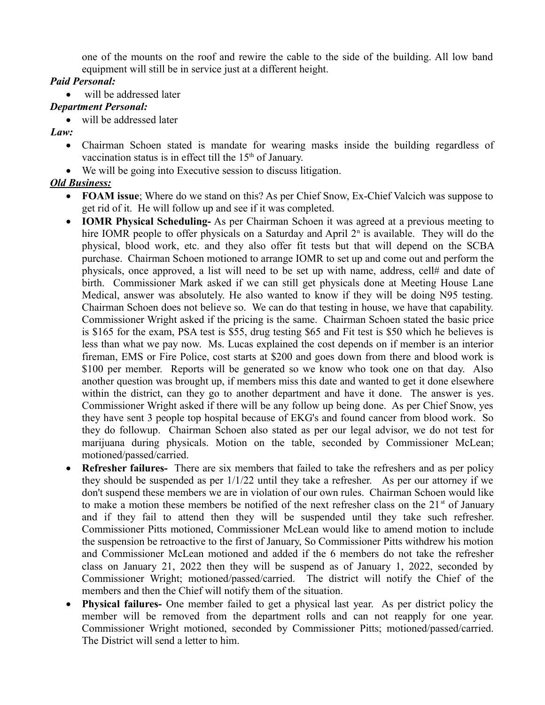one of the mounts on the roof and rewire the cable to the side of the building. All low band equipment will still be in service just at a different height.

## *Paid Personal:*

will be addressed later

# *Department Personal:*

- will be addressed later
- *Law:*
	- Chairman Schoen stated is mandate for wearing masks inside the building regardless of vaccination status is in effect till the 15<sup>th</sup> of January.
	- We will be going into Executive session to discuss litigation.

# *Old Business:*

- **FOAM issue**; Where do we stand on this? As per Chief Snow, Ex-Chief Valcich was suppose to get rid of it. He will follow up and see if it was completed.
- **IOMR Physical Scheduling-** As per Chairman Schoen it was agreed at a previous meeting to hire IOMR people to offer physicals on a Saturday and April  $2<sup>n</sup>$  is available. They will do the physical, blood work, etc. and they also offer fit tests but that will depend on the SCBA purchase. Chairman Schoen motioned to arrange IOMR to set up and come out and perform the physicals, once approved, a list will need to be set up with name, address, cell# and date of birth. Commissioner Mark asked if we can still get physicals done at Meeting House Lane Medical, answer was absolutely. He also wanted to know if they will be doing N95 testing. Chairman Schoen does not believe so. We can do that testing in house, we have that capability. Commissioner Wright asked if the pricing is the same. Chairman Schoen stated the basic price is \$165 for the exam, PSA test is \$55, drug testing \$65 and Fit test is \$50 which he believes is less than what we pay now. Ms. Lucas explained the cost depends on if member is an interior fireman, EMS or Fire Police, cost starts at \$200 and goes down from there and blood work is \$100 per member. Reports will be generated so we know who took one on that day. Also another question was brought up, if members miss this date and wanted to get it done elsewhere within the district, can they go to another department and have it done. The answer is yes. Commissioner Wright asked if there will be any follow up being done. As per Chief Snow, yes they have sent 3 people top hospital because of EKG's and found cancer from blood work. So they do followup. Chairman Schoen also stated as per our legal advisor, we do not test for marijuana during physicals. Motion on the table, seconded by Commissioner McLean; motioned/passed/carried.
- **Refresher failures-** There are six members that failed to take the refreshers and as per policy they should be suspended as per 1/1/22 until they take a refresher. As per our attorney if we don't suspend these members we are in violation of our own rules. Chairman Schoen would like to make a motion these members be notified of the next refresher class on the  $21<sup>st</sup>$  of January and if they fail to attend then they will be suspended until they take such refresher. Commissioner Pitts motioned, Commissioner McLean would like to amend motion to include the suspension be retroactive to the first of January, So Commissioner Pitts withdrew his motion and Commissioner McLean motioned and added if the 6 members do not take the refresher class on January 21, 2022 then they will be suspend as of January 1, 2022, seconded by Commissioner Wright; motioned/passed/carried. The district will notify the Chief of the members and then the Chief will notify them of the situation.
- **Physical failures-** One member failed to get a physical last year. As per district policy the member will be removed from the department rolls and can not reapply for one year. Commissioner Wright motioned, seconded by Commissioner Pitts; motioned/passed/carried. The District will send a letter to him.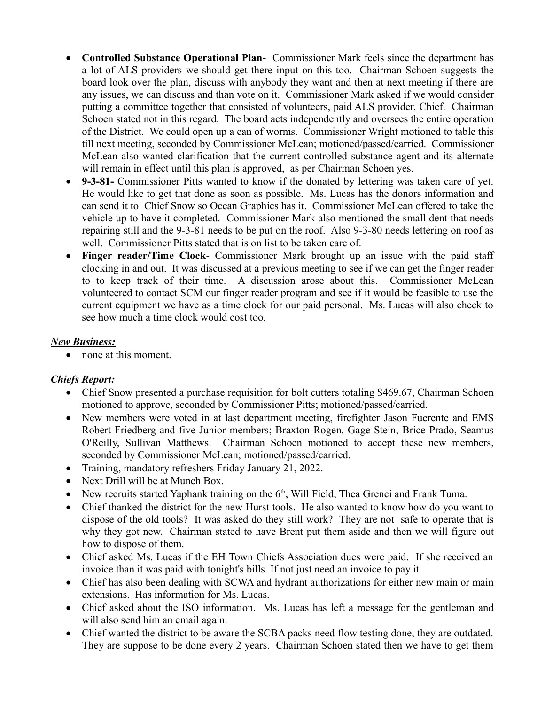- **Controlled Substance Operational Plan-** Commissioner Mark feels since the department has a lot of ALS providers we should get there input on this too. Chairman Schoen suggests the board look over the plan, discuss with anybody they want and then at next meeting if there are any issues, we can discuss and than vote on it. Commissioner Mark asked if we would consider putting a committee together that consisted of volunteers, paid ALS provider, Chief. Chairman Schoen stated not in this regard. The board acts independently and oversees the entire operation of the District. We could open up a can of worms. Commissioner Wright motioned to table this till next meeting, seconded by Commissioner McLean; motioned/passed/carried. Commissioner McLean also wanted clarification that the current controlled substance agent and its alternate will remain in effect until this plan is approved, as per Chairman Schoen yes.
- **9-3-81-** Commissioner Pitts wanted to know if the donated by lettering was taken care of yet. He would like to get that done as soon as possible. Ms. Lucas has the donors information and can send it to Chief Snow so Ocean Graphics has it. Commissioner McLean offered to take the vehicle up to have it completed. Commissioner Mark also mentioned the small dent that needs repairing still and the 9-3-81 needs to be put on the roof. Also 9-3-80 needs lettering on roof as well. Commissioner Pitts stated that is on list to be taken care of.
- **Finger reader/Time Clock** Commissioner Mark brought up an issue with the paid staff clocking in and out. It was discussed at a previous meeting to see if we can get the finger reader to to keep track of their time. A discussion arose about this. Commissioner McLean volunteered to contact SCM our finger reader program and see if it would be feasible to use the current equipment we have as a time clock for our paid personal. Ms. Lucas will also check to see how much a time clock would cost too.

#### *New Business:*

• none at this moment.

# *Chiefs Report:*

- Chief Snow presented a purchase requisition for bolt cutters totaling \$469.67, Chairman Schoen motioned to approve, seconded by Commissioner Pitts; motioned/passed/carried.
- New members were voted in at last department meeting, firefighter Jason Fuerente and EMS Robert Friedberg and five Junior members; Braxton Rogen, Gage Stein, Brice Prado, Seamus O'Reilly, Sullivan Matthews. Chairman Schoen motioned to accept these new members, seconded by Commissioner McLean; motioned/passed/carried.
- Training, mandatory refreshers Friday January 21, 2022.
- Next Drill will be at Munch Box.
- New recruits started Yaphank training on the  $6<sup>th</sup>$ , Will Field, Thea Grenci and Frank Tuma.
- Chief thanked the district for the new Hurst tools. He also wanted to know how do you want to dispose of the old tools? It was asked do they still work? They are not safe to operate that is why they got new. Chairman stated to have Brent put them aside and then we will figure out how to dispose of them.
- Chief asked Ms. Lucas if the EH Town Chiefs Association dues were paid. If she received an invoice than it was paid with tonight's bills. If not just need an invoice to pay it.
- Chief has also been dealing with SCWA and hydrant authorizations for either new main or main extensions. Has information for Ms. Lucas.
- Chief asked about the ISO information. Ms. Lucas has left a message for the gentleman and will also send him an email again.
- Chief wanted the district to be aware the SCBA packs need flow testing done, they are outdated. They are suppose to be done every 2 years. Chairman Schoen stated then we have to get them